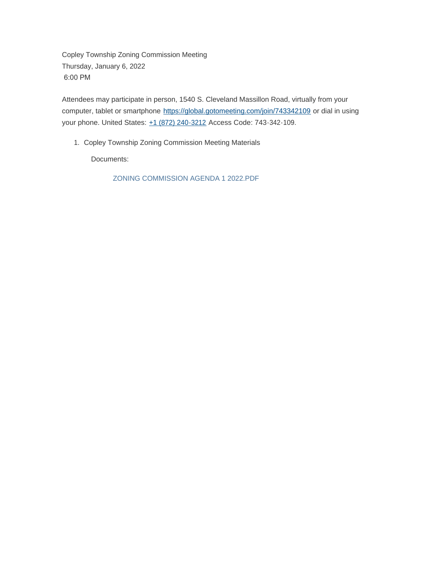Copley Township Zoning Commission Meeting Thursday, January 6, 2022 6:00 PM

Attendees may participate in person, 1540 S. Cleveland Massillon Road, virtually from your computer, tablet or smartphone <https://global.gotomeeting.com/join/743342109> or dial in using your phone. United States: [+1 \(872\) 240-3212](tel:+18722403212,,743342109) Access Code: 743-342-109.

1. Copley Township Zoning Commission Meeting Materials

Documents:

ZONING COMMISSION AGENDA 1 2022.PDF